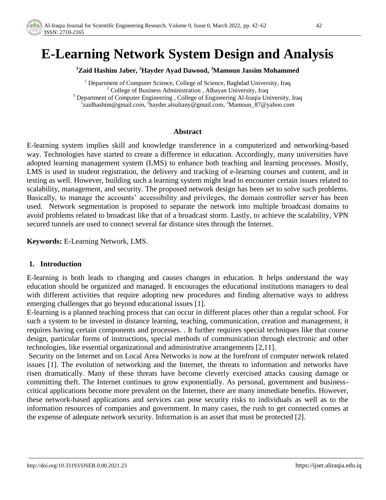

# **E-Learning Network System Design and Analysis**

**<sup>1</sup>Zaid Hashim Jaber, <sup>2</sup>Hayder Ayad Dawood, <sup>3</sup>Mamoun Jassim Mohammed**

<sup>1</sup> Department of Computer Science, College of Science, Baghdad University, Iraq <sup>2</sup> College of Business Administration, Albayan University, Iraq <sup>3</sup> Department of Computer Engineering, College of Engineering Al-Iraqia University, Iraq <sup>1</sup>[zaidhashim@gmail.com,](mailto:zaidhashim@gmail.com) <sup>2</sup>[hayder.alsultany@gmail.com,](mailto:hayder.alsultany@gmail.com) <sup>3</sup>[Mamoun\\_87@yahoo.com](mailto:Mamoun_87@yahoo.com)

#### **Abstract**

E-learning system implies skill and knowledge transference in a computerized and networking-based way. Technologies have started to create a difference in education. Accordingly, many universities have adopted learning management system (LMS) to enhance both teaching and learning processes. Mostly, LMS is used in student registration, the delivery and tracking of e-learning courses and content, and in testing as well. However, building such a learning system might lead to encounter certain issues related to scalability, management, and security. The proposed network design has been set to solve such problems. Basically, to manage the accounts' accessibility and privileges, the domain controller server has been used. Network segmentation is proposed to separate the network into multiple broadcast domains to avoid problems related to broadcast like that of a broadcast storm. Lastly, to achieve the scalability, VPN secured tunnels are used to connect several far distance sites through the Internet.

**Keywords:** E-Learning Network, LMS.

## **1. Introduction**

E-learning is both leads to changing and causes changes in education. It helps understand the way education should be organized and managed. It encourages the educational institutions managers to deal with different activities that require adopting new procedures and finding alternative ways to address emerging challenges that go beyond educational issues [1].

E-learning is a planned teaching process that can occur in different places other than a regular school. For such a system to be invested in distance learning, teaching, communication, creation and management, it requires having certain components and processes. . It further requires special techniques like that course design, particular forms of instructions, special methods of communication through electronic and other technologies, like essential organizational and administrative arrangements [2,11].

Security on the Internet and on Local Area Networks is now at the forefront of computer network related issues [1]. The evolution of networking and the Internet, the threats to information and networks have risen dramatically. Many of these threats have become cleverly exercised attacks causing damage or committing theft. The Internet continues to grow exponentially. As personal, government and businesscritical applications become more prevalent on the Internet, there are many immediate benefits. However, these network-based applications and services can pose security risks to individuals as well as to the information resources of companies and government. In many cases, the rush to get connected comes at the expense of adequate network security. Information is an asset that must be protected [2].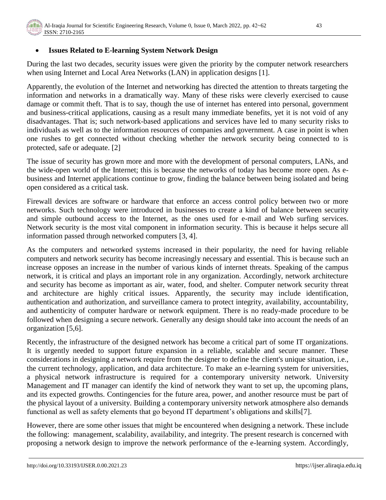# **Issues Related to E-learning System Network Design**

During the last two decades, security issues were given the priority by the computer network researchers when using Internet and Local Area Networks (LAN) in application designs [1].

Apparently, the evolution of the Internet and networking has directed the attention to threats targeting the information and networks in a dramatically way. Many of these risks were cleverly exercised to cause damage or commit theft. That is to say, though the use of internet has entered into personal, government and business-critical applications, causing as a result many immediate benefits, yet it is not void of any disadvantages. That is; such network-based applications and services have led to many security risks to individuals as well as to the information resources of companies and government. A case in point is when one rushes to get connected without checking whether the network security being connected to is protected, safe or adequate. [2]

The issue of security has grown more and more with the development of personal computers, LANs, and the wide-open world of the Internet; this is because the networks of today has become more open. As ebusiness and Internet applications continue to grow, finding the balance between being isolated and being open considered as a critical task.

Firewall devices are software or hardware that enforce an access control policy between two or more networks. Such technology were introduced in businesses to create a kind of balance between security and simple outbound access to the Internet, as the ones used for e-mail and Web surfing services. Network security is the most vital component in information security. This is because it helps secure all information passed through networked computers [3, 4].

As the computers and networked systems increased in their popularity, the need for having reliable computers and network security has become increasingly necessary and essential. This is because such an increase opposes an increase in the number of various kinds of internet threats. Speaking of the campus network, it is critical and plays an important role in any organization. Accordingly, network architecture and security has become as important as air, water, food, and shelter. Computer network security threat and architecture are highly critical issues. Apparently, the security may include identification, authentication and authorization, and surveillance camera to protect integrity, availability, accountability, and authenticity of computer hardware or network equipment. There is no ready-made procedure to be followed when designing a secure network. Generally any design should take into account the needs of an organization [5,6].

Recently, the infrastructure of the designed network has become a critical part of some IT organizations. It is urgently needed to support future expansion in a reliable, scalable and secure manner. These considerations in designing a network require from the designer to define the client's unique situation, i.e., the current technology, application, and data architecture. To make an e-learning system for universities, a physical network infrastructure is required for a contemporary university network. University Management and IT manager can identify the kind of network they want to set up, the upcoming plans, and its expected growths. Contingencies for the future area, power, and another resource must be part of the physical layout of a university. Building a contemporary university network atmosphere also demands functional as well as safety elements that go beyond IT department's obligations and skills[7].

However, there are some other issues that might be encountered when designing a network. These include the following: management, scalability, availability, and integrity. The present research is concerned with proposing a network design to improve the network performance of the e-learning system. Accordingly,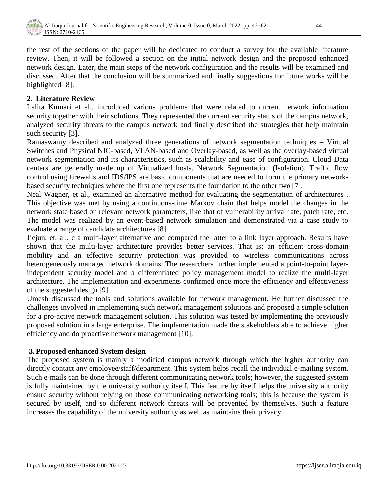the rest of the sections of the paper will be dedicated to conduct a survey for the available literature review. Then, it will be followed a section on the initial network design and the proposed enhanced network design. Later, the main steps of the network configuration and the results will be examined and discussed. After that the conclusion will be summarized and finally suggestions for future works will be highlighted [8].

# **2. Literature Review**

Lalita Kumari et al., introduced various problems that were related to current network information security together with their solutions. They represented the current security status of the campus network, analyzed security threats to the campus network and finally described the strategies that help maintain such security [3].

Ramaswamy described and analyzed three generations of network segmentation techniques – Virtual Switches and Physical NIC-based, VLAN-based and Overlay-based, as well as the overlay-based virtual network segmentation and its characteristics, such as scalability and ease of configuration. Cloud Data centers are generally made up of Virtualized hosts. Network Segmentation (Isolation), Traffic flow control using firewalls and IDS/IPS are basic components that are needed to form the primary networkbased security techniques where the first one represents the foundation to the other two [7].

Neal Wagner, et al., examined an alternative method for evaluating the segmentation of architectures . This objective was met by using a continuous-time Markov chain that helps model the changes in the network state based on relevant network parameters, like that of vulnerability arrival rate, patch rate, etc. The model was realized by an event-based network simulation and demonstrated via a case study to evaluate a range of candidate architectures [8].

Jiejun, et. al., c a multi-layer alternative and compared the latter to a link layer approach. Results have shown that the multi-layer architecture provides better services. That is; an efficient cross-domain mobility and an effective security protection was provided to wireless communications across heterogeneously managed network domains. The researchers further implemented a point-to-point layerindependent security model and a differentiated policy management model to realize the multi-layer architecture. The implementation and experiments confirmed once more the efficiency and effectiveness of the suggested design [9].

Umesh discussed the tools and solutions available for network management. He further discussed the challenges involved in implementing such network management solutions and proposed a simple solution for a pro-active network management solution. This solution was tested by implementing the previously proposed solution in a large enterprise. The implementation made the stakeholders able to achieve higher efficiency and do proactive network management [10].

## **3.Proposed enhanced System design**

The proposed system is mainly a modified campus network through which the higher authority can directly contact any employee/staff/department. This system helps recall the individual e-mailing system. Such e-mails can be done through different communicating network tools; however, the suggested system is fully maintained by the university authority itself. This feature by itself helps the university authority ensure security without relying on those communicating networking tools; this is because the system is secured by itself, and so different network threats will be prevented by themselves. Such a feature increases the capability of the university authority as well as maintains their privacy.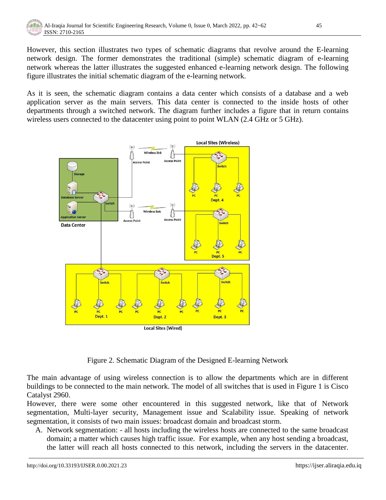However, this section illustrates two types of schematic diagrams that revolve around the E-learning network design. The former demonstrates the traditional (simple) schematic diagram of e-learning network whereas the latter illustrates the suggested enhanced e-learning network design. The following figure illustrates the initial schematic diagram of the e-learning network.

As it is seen, the schematic diagram contains a data center which consists of a database and a web application server as the main servers. This data center is connected to the inside hosts of other departments through a switched network. The diagram further includes a figure that in return contains wireless users connected to the datacenter using point to point WLAN (2.4 GHz or 5 GHz).



**Local Sites (Wired)** 

Figure 2. Schematic Diagram of the Designed E-learning Network

The main advantage of using wireless connection is to allow the departments which are in different buildings to be connected to the main network. The model of all switches that is used in Figure 1 is Cisco Catalyst 2960.

However, there were some other encountered in this suggested network, like that of Network segmentation, Multi-layer security, Management issue and Scalability issue. Speaking of network segmentation, it consists of two main issues: broadcast domain and broadcast storm.

A. Network segmentation: - all hosts including the wireless hosts are connected to the same broadcast domain; a matter which causes high traffic issue. For example, when any host sending a broadcast, the latter will reach all hosts connected to this network, including the servers in the datacenter.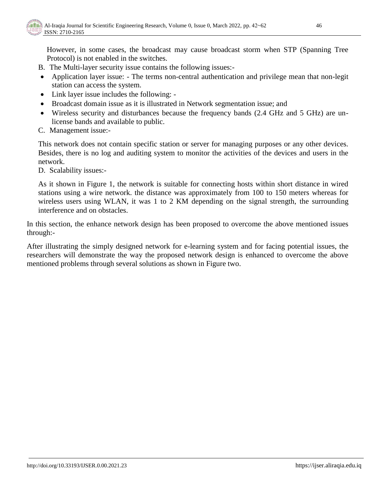However, in some cases, the broadcast may cause broadcast storm when STP (Spanning Tree Protocol) is not enabled in the switches.

- B. The Multi-layer security issue contains the following issues:-
- Application layer issue: The terms non-central authentication and privilege mean that non-legit station can access the system.
- Link layer issue includes the following: -
- Broadcast domain issue as it is illustrated in Network segmentation issue; and
- Wireless security and disturbances because the frequency bands (2.4 GHz and 5 GHz) are unlicense bands and available to public.
- C. Management issue:-

This network does not contain specific station or server for managing purposes or any other devices. Besides, there is no log and auditing system to monitor the activities of the devices and users in the network.

D. Scalability issues:-

As it shown in Figure 1, the network is suitable for connecting hosts within short distance in wired stations using a wire network. the distance was approximately from 100 to 150 meters whereas for wireless users using WLAN, it was 1 to 2 KM depending on the signal strength, the surrounding interference and on obstacles.

In this section, the enhance network design has been proposed to overcome the above mentioned issues through:-

After illustrating the simply designed network for e-learning system and for facing potential issues, the researchers will demonstrate the way the proposed network design is enhanced to overcome the above mentioned problems through several solutions as shown in Figure two.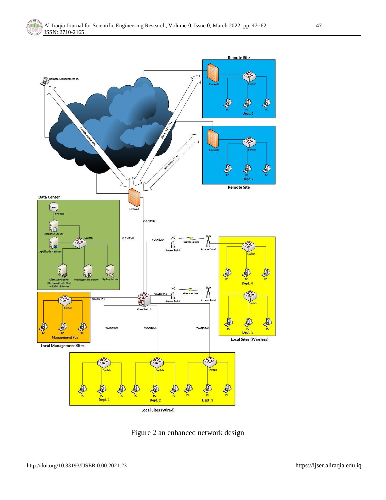

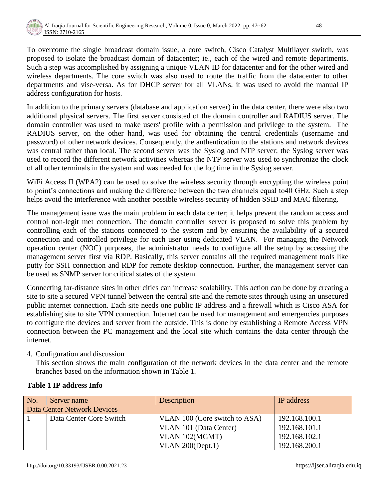

To overcome the single broadcast domain issue, a core switch, Cisco Catalyst Multilayer switch, was proposed to isolate the broadcast domain of datacenter; ie., each of the wired and remote departments. Such a step was accomplished by assigning a unique VLAN ID for datacenter and for the other wired and wireless departments. The core switch was also used to route the traffic from the datacenter to other departments and vise-versa. As for DHCP server for all VLANs, it was used to avoid the manual IP address configuration for hosts.

In addition to the primary servers (database and application server) in the data center, there were also two additional physical servers. The first server consisted of the domain controller and RADIUS server. The domain controller was used to make users' profile with a permission and privilege to the system. The RADIUS server, on the other hand, was used for obtaining the central credentials (username and password) of other network devices. Consequently, the authentication to the stations and network devices was central rather than local. The second server was the Syslog and NTP server; the Syslog server was used to record the different network activities whereas the NTP server was used to synchronize the clock of all other terminals in the system and was needed for the log time in the Syslog server.

WiFi Access II (WPA2) can be used to solve the wireless security through encrypting the wireless point to point's connections and making the difference between the two channels equal to40 GHz. Such a step helps avoid the interference with another possible wireless security of hidden SSID and MAC filtering.

The management issue was the main problem in each data center; it helps prevent the random access and control non-legit met connection. The domain controller server is proposed to solve this problem by controlling each of the stations connected to the system and by ensuring the availability of a secured connection and controlled privilege for each user using dedicated VLAN. For managing the Network operation center (NOC) purposes, the administrator needs to configure all the setup by accessing the management server first via RDP. Basically, this server contains all the required management tools like putty for SSH connection and RDP for remote desktop connection. Further, the management server can be used as SNMP server for critical states of the system.

Connecting far-distance sites in other cities can increase scalability. This action can be done by creating a site to site a secured VPN tunnel between the central site and the remote sites through using an unsecured public internet connection. Each site needs one public IP address and a firewall which is Cisco ASA for establishing site to site VPN connection. Internet can be used for management and emergencies purposes to configure the devices and server from the outside. This is done by establishing a Remote Access VPN connection between the PC management and the local site which contains the data center through the internet.

4. Configuration and discussion

This section shows the main configuration of the network devices in the data center and the remote branches based on the information shown in Table 1.

| No.                         | Server name             | Description                   | IP address    |  |
|-----------------------------|-------------------------|-------------------------------|---------------|--|
| Data Center Network Devices |                         |                               |               |  |
|                             | Data Center Core Switch | VLAN 100 (Core switch to ASA) | 192.168.100.1 |  |
|                             |                         | VLAN 101 (Data Center)        | 192.168.101.1 |  |
|                             |                         | VLAN 102(MGMT)                | 192.168.102.1 |  |
|                             |                         | VLAN $200(Dept.1)$            | 192.168.200.1 |  |

# **Table 1 IP address Info**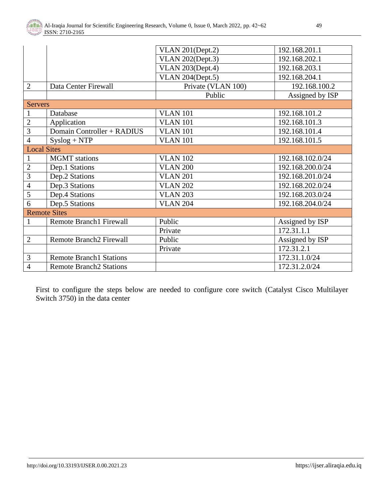

|                     |                                | VLAN $201$ (Dept.2)     | 192.168.201.1    |  |  |
|---------------------|--------------------------------|-------------------------|------------------|--|--|
|                     |                                | <b>VLAN 202(Dept.3)</b> | 192.168.202.1    |  |  |
|                     |                                | <b>VLAN 203(Dept.4)</b> | 192.168.203.1    |  |  |
|                     |                                | <b>VLAN 204(Dept.5)</b> | 192.168.204.1    |  |  |
| $\overline{2}$      | Data Center Firewall           | Private (VLAN 100)      | 192.168.100.2    |  |  |
|                     |                                | Public                  | Assigned by ISP  |  |  |
| <b>Servers</b>      |                                |                         |                  |  |  |
|                     | Database                       | <b>VLAN 101</b>         | 192.168.101.2    |  |  |
| $\sqrt{2}$          | Application                    | <b>VLAN 101</b>         | 192.168.101.3    |  |  |
| $\overline{3}$      | Domain Controller + RADIUS     | <b>VLAN 101</b>         | 192.168.101.4    |  |  |
| 4                   | $Syslog + NTP$                 | <b>VLAN 101</b>         | 192.168.101.5    |  |  |
|                     | <b>Local Sites</b>             |                         |                  |  |  |
| $\mathbf{1}$        | <b>MGMT</b> stations           | <b>VLAN 102</b>         | 192.168.102.0/24 |  |  |
| $\overline{2}$      | Dep.1 Stations                 | <b>VLAN 200</b>         | 192.168.200.0/24 |  |  |
| 3                   | Dep.2 Stations                 | <b>VLAN 201</b>         | 192.168.201.0/24 |  |  |
| 4                   | Dep.3 Stations                 | <b>VLAN 202</b>         | 192.168.202.0/24 |  |  |
| 5                   | Dep.4 Stations                 | <b>VLAN 203</b>         | 192.168.203.0/24 |  |  |
| 6                   | Dep.5 Stations                 | <b>VLAN 204</b>         | 192.168.204.0/24 |  |  |
| <b>Remote Sites</b> |                                |                         |                  |  |  |
| $\mathbf{1}$        | <b>Remote Branch1 Firewall</b> | Public                  | Assigned by ISP  |  |  |
|                     |                                | Private                 | 172.31.1.1       |  |  |
| $\overline{2}$      | <b>Remote Branch2 Firewall</b> | Public                  | Assigned by ISP  |  |  |
|                     |                                | Private                 | 172.31.2.1       |  |  |
| 3                   | <b>Remote Branch1 Stations</b> |                         | 172.31.1.0/24    |  |  |
| $\overline{4}$      | <b>Remote Branch2 Stations</b> |                         | 172.31.2.0/24    |  |  |

First to configure the steps below are needed to configure core switch (Catalyst Cisco Multilayer Switch 3750) in the data center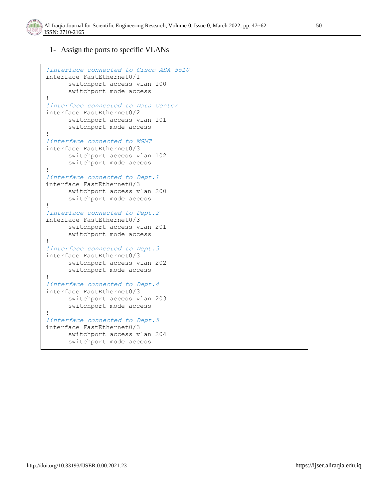

# 1- Assign the ports to specific VLANs

```
!interface connected to Cisco ASA 5510
interface FastEthernet0/1
      switchport access vlan 100
      switchport mode access
!
!interface connected to Data Center
interface FastEthernet0/2
      switchport access vlan 101
      switchport mode access
!
!interface connected to MGMT
interface FastEthernet0/3
      switchport access vlan 102
      switchport mode access
!
!interface connected to Dept.1
interface FastEthernet0/3
      switchport access vlan 200
     switchport mode access
!
!interface connected to Dept.2
interface FastEthernet0/3
     switchport access vlan 201
      switchport mode access
!
!interface connected to Dept.3
interface FastEthernet0/3
      switchport access vlan 202
      switchport mode access
!
!interface connected to Dept.4
interface FastEthernet0/3
      switchport access vlan 203
      switchport mode access
!
!interface connected to Dept.5
interface FastEthernet0/3
     switchport access vlan 204
      switchport mode access
```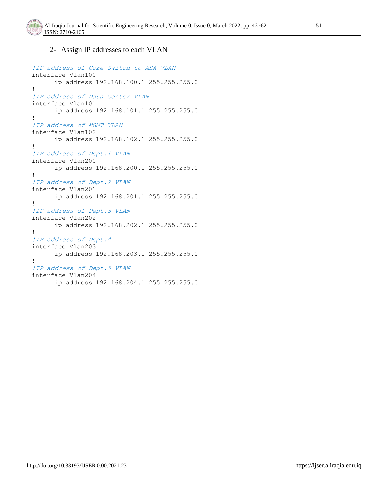#### 2- Assign IP addresses to each VLAN

```
!IP address of Core Switch-to-ASA VLAN
interface Vlan100
      ip address 192.168.100.1 255.255.255.0
!
!IP address of Data Center VLAN
interface Vlan101
      ip address 192.168.101.1 255.255.255.0
!
!IP address of MGMT VLAN
interface Vlan102
      ip address 192.168.102.1 255.255.255.0
!
!IP address of Dept.1 VLAN
interface Vlan200
      ip address 192.168.200.1 255.255.255.0
!
!IP address of Dept.2 VLAN
interface Vlan201
      ip address 192.168.201.1 255.255.255.0
!
!IP address of Dept.3 VLAN
interface Vlan202
      ip address 192.168.202.1 255.255.255.0
!
!IP address of Dept.4
interface Vlan203
      ip address 192.168.203.1 255.255.255.0
!
!IP address of Dept.5 VLAN
interface Vlan204
      ip address 192.168.204.1 255.255.255.0
```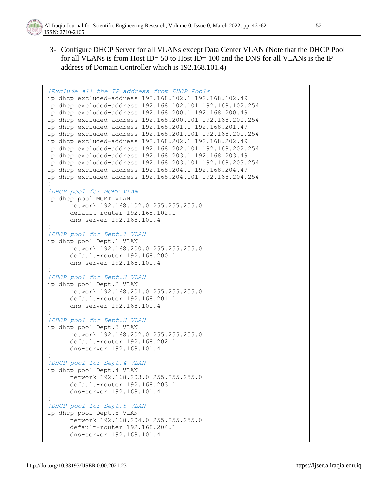3- Configure DHCP Server for all VLANs except Data Center VLAN (Note that the DHCP Pool for all VLANs is from Host ID= 50 to Host ID= 100 and the DNS for all VLANs is the IP address of Domain Controller which is 192.168.101.4)

```
!Exclude all the IP address from DHCP Pools
ip dhcp excluded-address 192.168.102.1 192.168.102.49
ip dhcp excluded-address 192.168.102.101 192.168.102.254
ip dhcp excluded-address 192.168.200.1 192.168.200.49
ip dhcp excluded-address 192.168.200.101 192.168.200.254
ip dhcp excluded-address 192.168.201.1 192.168.201.49
ip dhcp excluded-address 192.168.201.101 192.168.201.254
ip dhcp excluded-address 192.168.202.1 192.168.202.49
ip dhcp excluded-address 192.168.202.101 192.168.202.254
ip dhcp excluded-address 192.168.203.1 192.168.203.49
ip dhcp excluded-address 192.168.203.101 192.168.203.254
ip dhcp excluded-address 192.168.204.1 192.168.204.49
ip dhcp excluded-address 192.168.204.101 192.168.204.254
!
!DHCP pool for MGMT VLAN
ip dhcp pool MGMT VLAN
      network 192.168.102.0 255.255.255.0
      default-router 192.168.102.1
      dns-server 192.168.101.4
!
!DHCP pool for Dept.1 VLAN
ip dhcp pool Dept.1 VLAN
      network 192.168.200.0 255.255.255.0
      default-router 192.168.200.1
      dns-server 192.168.101.4
!
!DHCP pool for Dept.2 VLAN
ip dhcp pool Dept.2 VLAN
      network 192.168.201.0 255.255.255.0
      default-router 192.168.201.1
      dns-server 192.168.101.4
!
!DHCP pool for Dept.3 VLAN
ip dhcp pool Dept.3 VLAN
      network 192.168.202.0 255.255.255.0
      default-router 192.168.202.1
      dns-server 192.168.101.4
!
!DHCP pool for Dept.4 VLAN
ip dhcp pool Dept.4 VLAN
      network 192.168.203.0 255.255.255.0
      default-router 192.168.203.1
      dns-server 192.168.101.4
!
!DHCP pool for Dept.5 VLAN
ip dhcp pool Dept.5 VLAN
     network 192.168.204.0 255.255.255.0
      default-router 192.168.204.1
      dns-server 192.168.101.4
```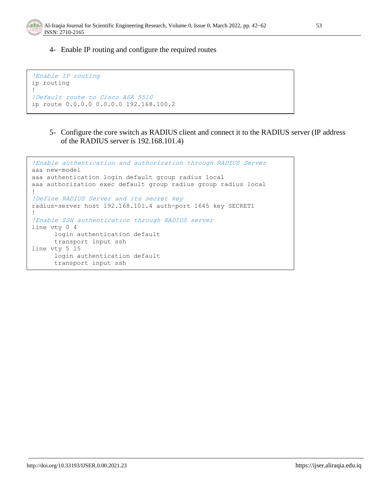

4- Enable IP routing and configure the required routes

```
!Enable IP routing
ip routing
!
!Default route to Cisco ASA 5510
ip route 0.0.0.0 0.0.0.0 192.168.100.2
```
5- Configure the core switch as RADIUS client and connect it to the RADIUS server (IP address of the RADIUS server is 192.168.101.4)

```
!Enable authentication and authorization through RADIUS Server
aaa new-model
aaa authentication login default group radius local 
aaa authorization exec default group radius group radius local
!
!Define RADIUS Server and its secret key
radius-server host 192.168.101.4 auth-port 1645 key SECRET1
!
!Enable SSH authentication through RADIUS server
line vty 0 4
     login authentication default
     transport input ssh
line vty 5 15
      login authentication default
      transport input ssh
```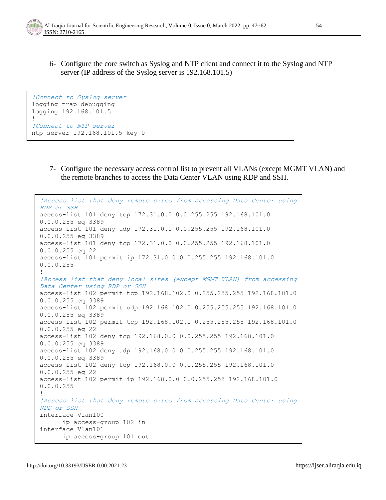6- Configure the core switch as Syslog and NTP client and connect it to the Syslog and NTP server (IP address of the Syslog server is 192.168.101.5)

```
!Connect to Syslog server
logging trap debugging
logging 192.168.101.5
!
!Connect to NTP server
ntp server 192.168.101.5 key 0
```
7- Configure the necessary access control list to prevent all VLANs (except MGMT VLAN) and the remote branches to access the Data Center VLAN using RDP and SSH.

```
!Access list that deny remote sites from accessing Data Center using 
RDP or SSH
access-list 101 deny tcp 172.31.0.0 0.0.255.255 192.168.101.0 
0.0.0.255 eq 3389
access-list 101 deny udp 172.31.0.0 0.0.255.255 192.168.101.0 
0.0.0.255 eq 3389
access-list 101 deny tcp 172.31.0.0 0.0.255.255 192.168.101.0 
0.0.0.255 eq 22
access-list 101 permit ip 172.31.0.0 0.0.255.255 192.168.101.0 
0.0.0.255
!
!Access list that deny local sites (except MGMT VLAN) from accessing 
Data Center using RDP or SSH
access-list 102 permit tcp 192.168.102.0 0.255.255.255 192.168.101.0 
0.0.0.255 eq 3389
access-list 102 permit udp 192.168.102.0 0.255.255.255 192.168.101.0 
0.0.0.255 eq 3389
access-list 102 permit tcp 192.168.102.0 0.255.255.255 192.168.101.0 
0.0.0.255 eq 22
access-list 102 deny tcp 192.168.0.0 0.0.255.255 192.168.101.0 
0.0.0.255 eq 3389
access-list 102 deny udp 192.168.0.0 0.0.255.255 192.168.101.0 
0.0.0.255 eq 3389
access-list 102 deny tcp 192.168.0.0 0.0.255.255 192.168.101.0 
0.0.0.255 eq 22
access-list 102 permit ip 192.168.0.0 0.0.255.255 192.168.101.0 
0.0.0.255
!
!Access list that deny remote sites from accessing Data Center using 
RDP or SSH
interface Vlan100
      ip access-group 102 in
interface Vlan101
      ip access-group 101 out
```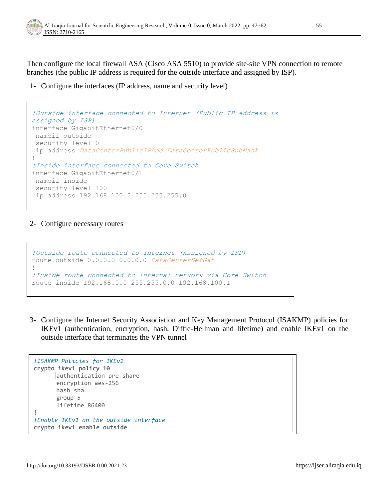Then configure the local firewall ASA (Cisco ASA 5510) to provide site-site VPN connection to remote branches (the public IP address is required for the outside interface and assigned by ISP).

1- Configure the interfaces (IP address, name and security level)

```
!Outside interface connected to Internet (Public IP address is 
assigned by ISP)
interface GigabitEthernet0/0
nameif outside
security-level 0
ip address DataCenterPublicIPAdd DataCenterPublicSubMask
!
!Inside interface connected to Core Switch
interface GigabitEthernet0/1
nameif inside
security-level 100
ip address 192.168.100.2 255.255.255.0
```
#### 2- Configure necessary routes

```
!Outside route connected to Internet (Assigned by ISP)
route outside 0.0.0.0 0.0.0.0 DataCenterDefGat
!
!Inside route connected to internal network via Core Switch
route inside 192.168.0.0 255.255.0.0 192.168.100.1
```
3- Configure the Internet Security Association and Key Management Protocol (ISAKMP) policies for IKEv1 (authentication, encryption, hash, Diffie-Hellman and lifetime) and enable IKEv1 on the outside interface that terminates the VPN tunnel

```
!ISAKMP Policies for IKEv1
crypto ikev1 policy 10
      authentication pre-share
      encryption aes-256
      hash sha
      group 5
      lifetime 86400
!
!Enable IKEv1 on the outside interface
crypto ikev1 enable outside
```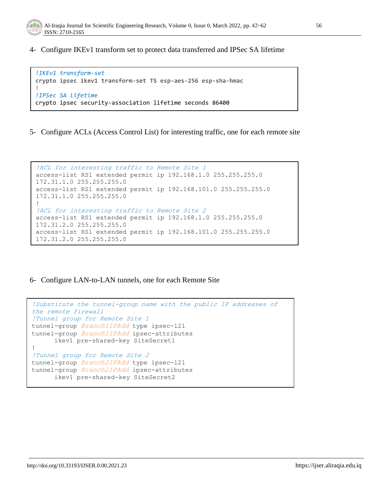

4- Configure IKEv1 transform set to protect data transferred and IPSec SA lifetime

```
!IKEv1 transform-set
crypto ipsec ikev1 transform-set TS esp-aes-256 esp-sha-hmac
!
!IPSec SA lifetime
crypto ipsec security-association lifetime seconds 86400
```
5- Configure ACLs (Access Control List) for interesting traffic, one for each remote site

```
!ACL for interesting traffic to Remote Site 1
access-list RS1 extended permit ip 192.168.1.0 255.255.255.0 
172.31.1.0 255.255.255.0
access-list RS1 extended permit ip 192.168.101.0 255.255.255.0 
172.31.1.0 255.255.255.0
!
!ACL for interesting traffic to Remote Site 2
access-list RS1 extended permit ip 192.168.1.0 255.255.255.0 
172.31.2.0 255.255.255.0
access-list RS1 extended permit ip 192.168.101.0 255.255.255.0 
172.31.2.0 255.255.255.0
```
6- Configure LAN-to-LAN tunnels, one for each Remote Site

```
!Substitute the tunnel-group name with the public IP addresses of 
the remote firewall
!Tunnel group for Remote Site 1
tunnel-group Branch1IPAdd type ipsec-121
tunnel-group Branch1IPAdd ipsec-attributes
     ikev1 pre-shared-key SiteSecret1
!
!Tunnel group for Remote Site 2
tunnel-group Branch2IPAdd type ipsec-121
tunnel-group Branch2IPAdd ipsec-attributes
     ikev1 pre-shared-key SiteSecret2
```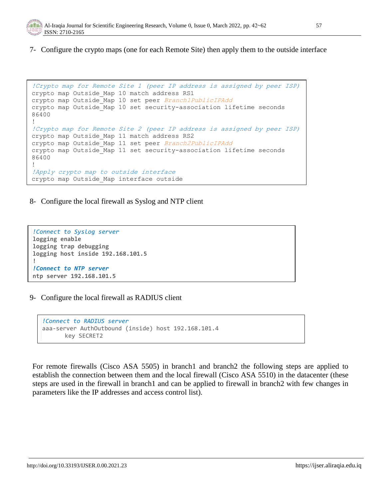

7- Configure the crypto maps (one for each Remote Site) then apply them to the outside interface

```
!Crypto map for Remote Site 1 (peer IP address is assigned by peer ISP)
crypto map Outside_Map 10 match address RS1
crypto map Outside Map 10 set peer Branch1PublicIPAdd
crypto map Outside_Map 10 set security-association lifetime seconds 
86400
!
!Crypto map for Remote Site 2 (peer IP address is assigned by peer ISP)
crypto map Outside_Map 11 match address RS2
crypto map Outside Map 11 set peer Branch2PublicIPAdd
crypto map Outside_Map 11 set security-association lifetime seconds 
86400
!
!Apply crypto map to outside interface
crypto map Outside_Map interface outside
```
8- Configure the local firewall as Syslog and NTP client

```
!Connect to Syslog server
logging enable
logging trap debugging
logging host inside 192.168.101.5
!
!Connect to NTP server
ntp server 192.168.101.5
```
9- Configure the local firewall as RADIUS client

```
!Connect to RADIUS server
aaa-server AuthOutbound (inside) host 192.168.101.4
      key SECRET2
```
For remote firewalls (Cisco ASA 5505) in branch1 and branch2 the following steps are applied to establish the connection between them and the local firewall (Cisco ASA 5510) in the datacenter (these steps are used in the firewall in branch1 and can be applied to firewall in branch2 with few changes in parameters like the IP addresses and access control list).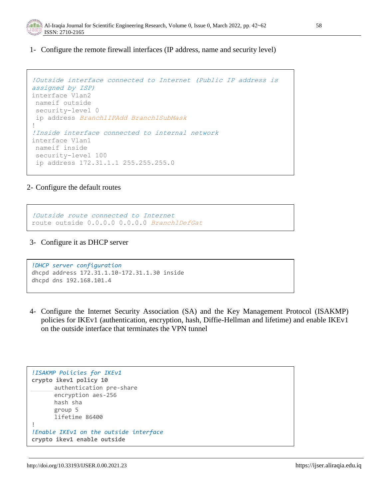

1- Configure the remote firewall interfaces (IP address, name and security level)

```
!Outside interface connected to Internet (Public IP address is 
assigned by ISP)
interface Vlan2
nameif outside
security-level 0
ip address Branch1IPAdd Branch1SubMask
!
!Inside interface connected to internal network
interface Vlan1
nameif inside
security-level 100
ip address 172.31.1.1 255.255.255.0
```
# 2- Configure the default routes

```
!Outside route connected to Internet
route outside 0.0.0.0 0.0.0.0 Branch1DefGat
```
# 3- Configure it as DHCP server

```
!DHCP server configuration
dhcpd address 172.31.1.10-172.31.1.30 inside
dhcpd dns 192.168.101.4
```
4- Configure the Internet Security Association (SA) and the Key Management Protocol (ISAKMP) policies for IKEv1 (authentication, encryption, hash, Diffie-Hellman and lifetime) and enable IKEv1 on the outside interface that terminates the VPN tunnel

```
!ISAKMP Policies for IKEv1
crypto ikev1 policy 10
      authentication pre-share
      encryption aes-256
      hash sha
      group 5
      lifetime 86400
!
!Enable IKEv1 on the outside interface
crypto ikev1 enable outside
```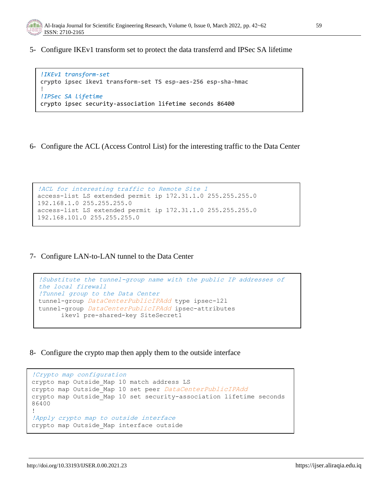

5- Configure IKEv1 transform set to protect the data transferrd and IPSec SA lifetime

```
!IKEv1 transform-set
crypto ipsec ikev1 transform-set TS esp-aes-256 esp-sha-hmac
!
!IPSec SA lifetime
crypto ipsec security-association lifetime seconds 86400
```
6- Configure the ACL (Access Control List) for the interesting traffic to the Data Center

```
!ACL for interesting traffic to Remote Site 1
access-list LS extended permit ip 172.31.1.0 255.255.255.0
192.168.1.0 255.255.255.0 
access-list LS extended permit ip 172.31.1.0 255.255.255.0
192.168.101.0 255.255.255.0
```
7- Configure LAN-to-LAN tunnel to the Data Center

```
!Substitute the tunnel-group name with the public IP addresses of 
the local firewall
!Tunnel group to the Data Center
tunnel-group DataCenterPublicIPAdd type ipsec-121
tunnel-group DataCenterPublicIPAdd ipsec-attributes
     ikev1 pre-shared-key SiteSecret1
```
8- Configure the crypto map then apply them to the outside interface

```
!Crypto map configuration
crypto map Outside_Map 10 match address LS
crypto map Outside_Map 10 set peer DataCenterPublicIPAdd
crypto map Outside_Map 10 set security-association lifetime seconds 
86400
!
!Apply crypto map to outside interface 
crypto map Outside_Map interface outside
```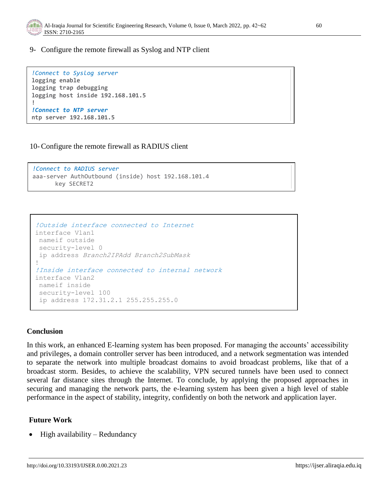

9- Configure the remote firewall as Syslog and NTP client

*!Connect to Syslog server* **logging enable logging trap debugging logging host inside 192.168.101.5 !** *!Connect to NTP server* **ntp server 192.168.101.5**

## 10- Configure the remote firewall as RADIUS client

```
!Connect to RADIUS server
aaa-server AuthOutbound (inside) host 192.168.101.4
      key SECRET2
```

```
!Outside interface connected to Internet
interface Vlan1
nameif outside
security-level 0
ip address Branch2IPAdd Branch2SubMask
!
!Inside interface connected to internal network
interface Vlan2
nameif inside
security-level 100
ip address 172.31.2.1 255.255.255.0
```
## **Conclusion**

In this work, an enhanced E-learning system has been proposed. For managing the accounts' accessibility and privileges, a domain controller server has been introduced, and a network segmentation was intended to separate the network into multiple broadcast domains to avoid broadcast problems, like that of a broadcast storm. Besides, to achieve the scalability, VPN secured tunnels have been used to connect several far distance sites through the Internet. To conclude, by applying the proposed approaches in securing and managing the network parts, the e-learning system has been given a high level of stable performance in the aspect of stability, integrity, confidently on both the network and application layer.

# **Future Work**

High availability – Redundancy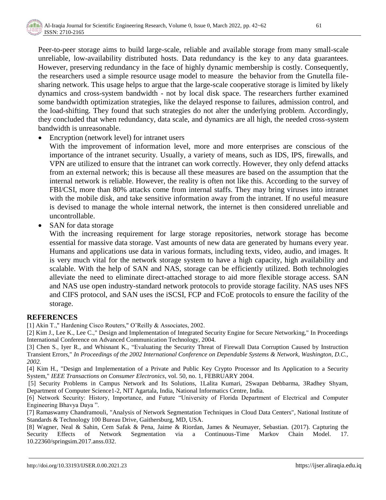Peer-to-peer storage aims to build large-scale, reliable and available storage from many small-scale unreliable, low-availability distributed hosts. Data redundancy is the key to any data guarantees. However, preserving redundancy in the face of highly dynamic membership is costly. Consequently, the researchers used a simple resource usage model to measure the behavior from the Gnutella filesharing network. This usage helps to argue that the large-scale cooperative storage is limited by likely dynamics and cross-system bandwidth - not by local disk space. The researchers further examined some bandwidth optimization strategies, like the delayed response to failures, admission control, and the load-shifting. They found that such strategies do not alter the underlying problem. Accordingly, they concluded that when redundancy, data scale, and dynamics are all high, the needed cross-system bandwidth is unreasonable.

• Encryption (network level) for intranet users

With the improvement of information level, more and more enterprises are conscious of the importance of the intranet security. Usually, a variety of means, such as IDS, IPS, firewalls, and VPN are utilized to ensure that the intranet can work correctly. However, they only defend attacks from an external network; this is because all these measures are based on the assumption that the internal network is reliable. However, the reality is often not like this. According to the survey of FBI/CSI, more than 80% attacks come from internal staffs. They may bring viruses into intranet with the mobile disk, and take sensitive information away from the intranet. If no useful measure is devised to manage the whole internal network, the internet is then considered unreliable and uncontrollable.

• SAN for data storage

With the increasing requirement for large storage repositories, network storage has become essential for massive data storage. Vast amounts of new data are generated by humans every year. Humans and applications use data in various formats, including texts, video, audio, and images. It is very much vital for the network storage system to have a high capacity, high availability and scalable. With the help of SAN and NAS, storage can be efficiently utilized. Both technologies alleviate the need to eliminate direct-attached storage to aid more flexible storage access. SAN and NAS use open industry-standard network protocols to provide storage facility. NAS uses NFS and CIFS protocol, and SAN uses the iSCSI, FCP and FCoE protocols to ensure the facility of the storage.

## **REFERENCES**

[1] Akin T.," Hardening Cisco Routers," O'Reilly & Associates, 2002.

[2] Kim J., Lee K., Lee C.," Design and Implementation of Integrated Security Engine for Secure Networking," In Proceedings International Conference on Advanced Communication Technology, 2004.

[3] Chen S., Iyer R., and Whisnant K., "Evaluating the Security Threat of Firewall Data Corruption Caused by Instruction Transient Errors," *In Proceedings of the 2002 International Conference on Dependable Systems & Network, Washington, D.C., 2002.* 

[4] Kim H., "Design and Implementation of a Private and Public Key Crypto Processor and Its Application to a Security System," *IEEE Transactions on Consumer Electronics*, vol. 50, no. 1, FEBRUARY 2004.

[5] Security Problems in Campus Network and Its Solutions, 1Lalita Kumari, 2Swapan Debbarma, 3Radhey Shyam, Department of Computer Science1-2, NIT Agartala, India, National Informatics Centre, India.

[6] Network Security: History, Importance, and Future "University of Florida Department of Electrical and Computer Engineering Bhavya Daya ".

[7] Ramaswamy Chandramouli, "Analysis of Network Segmentation Techniques in Cloud Data Centers", National Institute of Standards & Technology 100 Bureau Drive, Gaithersburg, MD, USA.

[8] Wagner, Neal & Sahin, Cem Safak & Pena, Jaime & Riordan, James & Neumayer, Sebastian. (2017). Capturing the Security Effects of Network Segmentation via a Continuous-Time Markov Chain Model. 17. 10.22360/springsim.2017.anss.032.